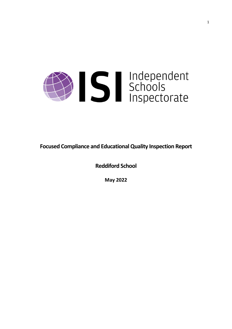

**Focused Compliance and EducationalQuality Inspection Report**

**Reddiford School**

**May 2022**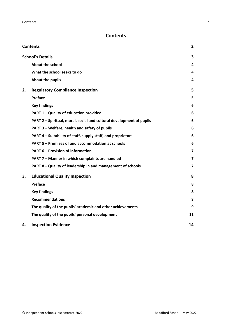## **Contents**

| <b>Contents</b> |                                                                      |                |
|-----------------|----------------------------------------------------------------------|----------------|
|                 | <b>School's Details</b>                                              | 3              |
|                 | About the school                                                     | 4              |
|                 | What the school seeks to do                                          | 4              |
|                 | About the pupils                                                     | 4              |
| 2.              | <b>Regulatory Compliance Inspection</b>                              | 5              |
|                 | Preface                                                              | 5              |
|                 | <b>Key findings</b>                                                  | 6              |
|                 | PART 1 - Quality of education provided                               | 6              |
|                 | PART 2 - Spiritual, moral, social and cultural development of pupils | 6              |
|                 | PART 3 - Welfare, health and safety of pupils                        | 6              |
|                 | PART 4 – Suitability of staff, supply staff, and proprietors         | 6              |
|                 | PART 5 - Premises of and accommodation at schools                    | 6              |
|                 | <b>PART 6 - Provision of information</b>                             | $\overline{7}$ |
|                 | PART 7 - Manner in which complaints are handled                      | 7              |
|                 | PART 8 - Quality of leadership in and management of schools          | 7              |
| З.              | <b>Educational Quality Inspection</b>                                | 8              |
|                 | <b>Preface</b>                                                       | 8              |
|                 | <b>Key findings</b>                                                  | 8              |
|                 | <b>Recommendations</b>                                               | 8              |
|                 | The quality of the pupils' academic and other achievements           | 9              |
|                 | The quality of the pupils' personal development                      | 11             |
| 4.              | <b>Inspection Evidence</b>                                           | 14             |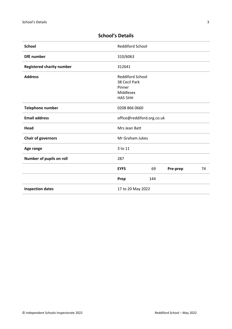| <b>School</b>                    | <b>Reddiford School</b>                                                    |     |          |    |
|----------------------------------|----------------------------------------------------------------------------|-----|----------|----|
| <b>DfE</b> number                | 310/6063                                                                   |     |          |    |
| <b>Registered charity number</b> | 312641                                                                     |     |          |    |
| <b>Address</b>                   | <b>Reddiford School</b><br>38 Cecil Park<br>Pinner<br>Middlesex<br>HA5 5HH |     |          |    |
| <b>Telephone number</b>          | 0208 866 0660                                                              |     |          |    |
| <b>Email address</b>             | office@reddiford.org.co.uk                                                 |     |          |    |
| Head                             | Mrs Jean Batt                                                              |     |          |    |
| <b>Chair of governors</b>        | Mr Graham Jukes                                                            |     |          |    |
| Age range                        | 3 to 11                                                                    |     |          |    |
| Number of pupils on roll         | 287                                                                        |     |          |    |
|                                  | <b>EYFS</b>                                                                | 69  | Pre-prep | 74 |
|                                  | Prep                                                                       | 144 |          |    |
| <b>Inspection dates</b>          | 17 to 20 May 2022                                                          |     |          |    |

# **School's Details**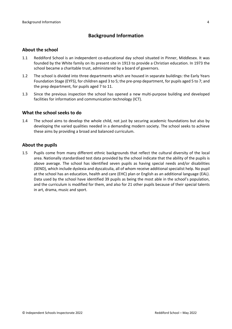## **Background Information**

#### **About the school**

- 1.1 Reddiford School is an independent co-educational day school situated in Pinner, Middlesex. It was founded by the White family on its present site in 1913 to provide a Christian education. In 1973 the school became a charitable trust, administered by a board of governors.
- 1.2 The school is divided into three departments which are housed in separate buildings: the Early Years Foundation Stage (EYFS), for children aged 3 to 5; the pre-prep department, for pupils aged 5 to 7; and the prep department, for pupils aged 7 to 11.
- 1.3 Since the previous inspection the school has opened a new multi-purpose building and developed facilities for information and communication technology (ICT).

#### **What the school seeks to do**

1.4 The school aims to develop the whole child, not just by securing academic foundations but also by developing the varied qualities needed in a demanding modern society. The school seeks to achieve these aims by providing a broad and balanced curriculum.

#### **About the pupils**

1.5 Pupils come from many different ethnic backgrounds that reflect the cultural diversity of the local area. Nationally standardised test data provided by the school indicate that the ability of the pupils is above average. The school has identified seven pupils as having special needs and/or disabilities (SEND), which include dyslexia and dyscalculia, all of whom receive additional specialist help. No pupil at the school has an education, health and care (EHC) plan or English as an additional language (EAL). Data used by the school have identified 39 pupils as being the most able in the school's population, and the curriculum is modified for them, and also for 21 other pupils because of their special talents in art, drama, music and sport.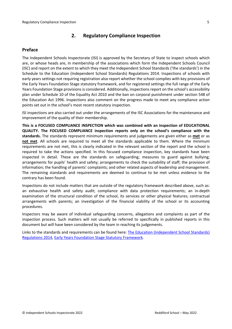## **2. Regulatory Compliance Inspection**

### **Preface**

The Independent Schools Inspectorate (ISI) is approved by the Secretary of State to inspect schools which are, or whose heads are, in membership of the associations which form the Independent Schools Council (ISC) and report on the extent to which they meet the Independent School Standards ('the standards') in the Schedule to the Education (Independent School Standards) Regulations 2014. Inspections of schools with early years settings not requiring registration also report whether the school complies with key provisions of the Early Years Foundation Stage statutory framework, and for registered settings the full range of the Early Years Foundation Stage provisions is considered. Additionally, inspections report on the school's accessibility plan under Schedule 10 of the Equality Act 2010 and the ban on corporal punishment under section 548 of the Education Act 1996. Inspections also comment on the progress made to meet any compliance action points set out in the school's most recent statutory inspection.

ISI inspections are also carried out under the arrangements of the ISC Associations for the maintenance and improvement of the quality of their membership.

**This is a FOCUSED COMPLIANCE INSPECTION which was combined with an inspection of EDUCATIONAL QUALITY. The FOCUSED COMPLIANCE inspection reports only on the school's compliance with the standards.** The standards represent minimum requirements and judgements are given either as **met** or as **not met**. All schools are required to meet all the standards applicable to them. Where the minimum requirements are not met, this is clearly indicated in the relevant section of the report and the school is required to take the actions specified. In this focused compliance inspection, key standards have been inspected in detail. These are the standards on safeguarding; measures to guard against bullying; arrangements for pupils' health and safety; arrangements to check the suitability of staff; the provision of information; the handling of parents' complaints; and other related aspects of leadership and management. The remaining standards and requirements are deemed to continue to be met unless evidence to the contrary has been found.

Inspections do not include matters that are outside of the regulatory framework described above, such as: an exhaustive health and safety audit; compliance with data protection requirements; an in-depth examination of the structural condition of the school, its services or other physical features; contractual arrangements with parents; an investigation of the financial viability of the school or its accounting procedures.

Inspectors may be aware of individual safeguarding concerns, allegations and complaints as part of the inspection process. Such matters will not usually be referred to specifically in published reports in this document but will have been considered by the team in reaching its judgements.

Links to the standards and requirements can be found here: The Education [\(Independent](http://www.legislation.gov.uk/uksi/2014/3283/contents/made) School Standards) [Regulations](http://www.legislation.gov.uk/uksi/2014/3283/contents/made) 2014, Early Years Foundation Stage Statutory [Framework.](https://www.gov.uk/government/publications/early-years-foundation-stage-framework--2)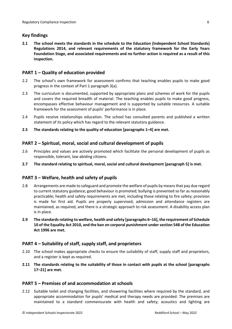### **Key findings**

**2.1 The school meets the standards in the schedule to the Education (Independent School Standards) Regulations 2014, and relevant requirements of the statutory framework for the Early Years Foundation Stage, and associated requirements and no further action is required as a result of this inspection.**

### **PART 1 – Quality of education provided**

- 2.2 The school's own framework for assessment confirms that teaching enables pupils to make good progress in the context of Part 1 paragraph 3(a).
- 2.3 The curriculum is documented, supported by appropriate plans and schemes of work for the pupils and covers the required breadth of material. The teaching enables pupils to make good progress, encompasses effective behaviour management and is supported by suitable resources. A suitable framework for the assessment of pupils' performance is in place.
- 2.4 Pupils receive relationships education. The school has consulted parents and published a written statement of its policy which has regard to the relevant statutory guidance.
- **2.5 The standards relating to the quality of education [paragraphs 1–4] are met.**

### **PART 2 – Spiritual, moral, social and cultural development of pupils**

- 2.6 Principles and values are actively promoted which facilitate the personal development of pupils as responsible, tolerant, law-abiding citizens.
- **2.7 The standard relating to spiritual, moral, social and cultural development [paragraph 5] is met.**

#### **PART 3 – Welfare, health and safety of pupils**

- 2.8 Arrangements are made to safeguard and promote the welfare of pupils by means that pay due regard to current statutory guidance; good behaviour is promoted; bullying is prevented so far as reasonably practicable; health and safety requirements are met, including those relating to fire safety; provision is made for first aid. Pupils are properly supervised; admission and attendance registers are maintained, as required, and there is a strategic approach to risk assessment. A disability access plan is in place.
- **2.9 The standardsrelating to welfare, health and safety [paragraphs 6–16], the requirement of Schedule 10 of the Equality Act 2010, and the ban on corporal punishment undersection 548 of the Education Act 1996 are met.**

#### **PART 4 – Suitability of staff, supply staff, and proprietors**

- 2.10 The school makes appropriate checks to ensure the suitability of staff, supply staff and proprietors, and a register is kept as required.
- **2.11 The standards relating to the suitability of those in contact with pupils at the school [paragraphs 17–21] are met.**

#### **PART 5 – Premises of and accommodation at schools**

2.12 Suitable toilet and changing facilities, and showering facilities where required by the standard, and appropriate accommodation for pupils' medical and therapy needs are provided. The premises are maintained to a standard commensurate with health and safety; acoustics and lighting are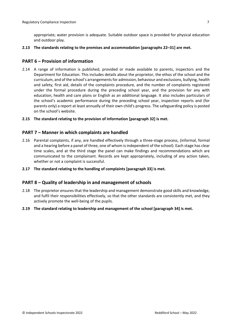appropriate; water provision is adequate. Suitable outdoor space is provided for physical education and outdoor play.

**2.13 The standards relating to the premises and accommodation [paragraphs 22–31] are met.**

#### **PART 6 – Provision of information**

- 2.14 A range of information is published, provided or made available to parents, inspectors and the Department for Education. This includes details about the proprietor, the ethos of the school and the curriculum, and of the school's arrangementsfor admission, behaviour and exclusions, bullying, health and safety, first aid, details of the complaints procedure, and the number of complaints registered under the formal procedure during the preceding school year, and the provision for any with education, health and care plans or English as an additional language. It also includes particulars of the school's academic performance during the preceding school year, inspection reports and (for parents only) a report at least annually of their own child's progress. The safeguarding policy is posted on the school's website.
- **2.15 The standard relating to the provision of information [paragraph 32] is met.**

#### **PART 7 – Manner in which complaints are handled**

- 2.16 Parental complaints, if any, are handled effectively through a three-stage process, (informal, formal and a hearing before a panel of three, one of whom isindependent of the school). Each stage has clear time scales, and at the third stage the panel can make findings and recommendations which are communicated to the complainant. Records are kept appropriately, including of any action taken, whether or not a complaint is successful.
- **2.17 The standard relating to the handling of complaints [paragraph 33] is met.**

#### **PART 8 – Quality of leadership in and management of schools**

- 2.18 The proprietor ensures that the leadership and management demonstrate good skills and knowledge, and fulfil their responsibilities effectively, so that the other standards are consistently met, and they actively promote the well-being of the pupils.
- **2.19 The standard relating to leadership and management of the school [paragraph 34] is met.**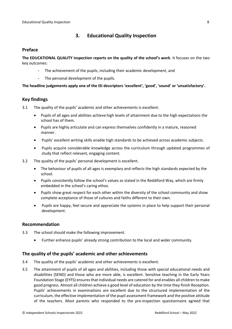## **3. Educational Quality Inspection**

#### **Preface**

**The EDUCATIONAL QUALITY inspection reports on the quality of the school's work**. It focuses on the two key outcomes:

- The achievement of the pupils, including their academic development, and
- The personal development of the pupils.

#### **The headline judgements apply one of the ISI descriptors 'excellent', 'good', 'sound' or 'unsatisfactory'.**

#### **Key findings**

- 3.1 The quality of the pupils' academic and other achievements is excellent.
	- Pupils of all ages and abilities achieve high levels of attainment due to the high expectations the school has of them.
	- Pupils are highly articulate and can express themselves confidently in a mature, reasoned manner.
	- Pupils' excellent writing skills enable high standards to be achieved across academic subjects.
	- Pupils acquire considerable knowledge across the curriculum through updated programmes of study that reflect relevant, engaging content.
- 3.2 The quality of the pupils' personal development is excellent.
	- The behaviour of pupils of all ages is exemplary and reflects the high standards expected by the school.
	- Pupils consistently follow the school's values as stated in the Reddiford Way, which are firmly embedded in the school's caring ethos.
	- Pupils show great respect for each other within the diversity of the school community and show complete acceptance of those of cultures and faiths different to their own.
	- Pupils are happy, feel secure and appreciate the systems in place to help support their personal development.

#### **Recommendation**

- 3.3 The school should make the following improvement.
	- Further enhance pupils' already strong contribution to the local and wider community.

#### **The quality of the pupils' academic and other achievements**

- 3.4 The quality of the pupils' academic and other achievements is excellent.
- 3.5 The attainment of pupils of all ages and abilities, including those with special educational needs and disabilities (SEND) and those who are more able, is excellent. Sensitive teaching in the Early Years Foundation Stage (EYFS) ensures that individual needs are catered for and enables all children to make good progress. Almost all children achieve a good level of education by the time they finish Reception. Pupils' achievements in examinations are excellent due to the structured implementation of the curriculum, the effective implementation of the pupil assessment framework and the positive attitude of the teachers. Most parents who responded to the pre-inspection questionnaire agreed that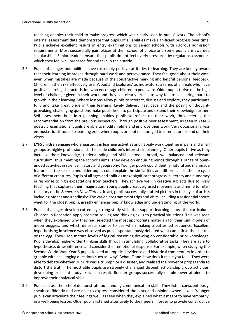teaching enables their child to make progress which was clearly seen in pupils' work. The school's internal assessment data demonstrate that pupils of all abilities make significant progress over time. Pupils achieve excellent results in entry examinations to senior schools with rigorous admission requirements. Most successfully gain places at their school of choice and some pupils are awarded scholarships. Senior leaders ensure that pupils do not feel overly pressured by regular assessments, which they feel well prepared for and take in their stride.

- 3.6 Pupils of all ages and abilities have extremely positive attitudes to learning. They are keenly aware that their learning improves through hard work and perseverance. They feel good about their work even when mistakes are made because of the constructive marking and helpful personal feedback. Children in the EYFS effectively use 'Woodland Explorers' as motivators, a series of animals who have positive learning characteristics, who encourage children to persevere. Older pupils thrive on the high level of challenge given in their work and they can clearly articulate why failure is a springboard to growth in their learning. Where lessons allow pupils to interact, discuss and explore, they participate fully and take great pride in their learning. Lively delivery, fast pace and the posing of thoughtprovoking, challenging questions make pupils keen to participate and extend their knowledge further. Self-assessment built into planning enables pupils to reflect on their work, thus meeting the recommendation from the previous inspection. Through positive peer assessment, as seen in Year 6 poetry presentations, pupils are able to modify, refine and improve their work. Very occasionally, less enthusiastic attitudes to learning exist where pupils are not encouraged to interact or expand on their views.
- 3.7 EYFS children engage wholeheartedly in learning activities and happily work together in pairs and small groups as highly professional staff include children's interests in planning. Older pupils thrive as they increase their knowledge, understanding and skills across a broad, well-balanced and relevant curriculum, thus meeting the school's aims. They develop enquiring minds through a range of openended activitiesin science, history and geography. Younger pupils could identify natural and manmade features at the seaside and older pupils could explain the similarities and differences in the life cycle of different creatures. Pupils of all ages and abilities make significant progressin literacy and numeracy in response to high expectations from teachers. They achieve well in creative subjects due to lively teaching that captures their imagination. Young pupils creatively used movement and mime to retell the story of the *Emperor's New Clothes*. In art, pupils successfully crafted pictures in the style of artists including Monet and Kandinsky. The varied programme of trips and visits, including a residential sports week for the oldest pupils, greatly enhances pupils' knowledge and understanding of the world.
- 3.8 Pupils of all ages develop extremely strong study skills that support learning across the curriculum. Children in Reception apply problem-solving and thinking skills to practical situations. This was seen when they explained why they had selected the most appropriate materials for their junk models of moon buggies, and which dinosaur stamps to use when making a patterned sequence. Excellent hypothesising in science was observed as pupils spontaneously debated what came first, the chicken or the egg*.* They used mature levels of logical reasoning drawing on considerable prior knowledge. Pupils develop higher-order thinking skills through stimulating, collaborative tasks. They are able to hypothesise, draw inference and consider their emotional response. For example, when studying the Second World War, Year 6 pupils looked at empirical evidence and historical commentary in order to grapple with challenging questions such as 'why', 'what if' and 'how does it make you feel'. They were able to debate whether Dunkirk was a triumph or a disaster, and realised the power of propaganda to distort the truth. The most able pupils are strongly challenged through scholarship group activities, developing excellent study skills as a result. Booster groups successfully enable lower attainers to improve their analytical skills.
- 3.9 Pupils across the school demonstrate outstanding communication skills. They listen conscientiously, speak confidently and are able to express considered thoughts and opinions when asked. Younger pupils can articulate their feelings well, as seen when they explained what it meant to have 'empathy' in a well-being lesson. Older pupils listened attentively to their peers in order to provide constructive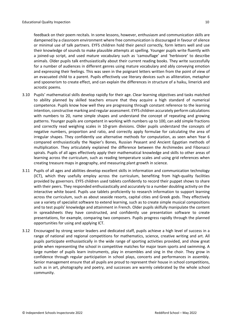feedback on their poem recitals. In some lessons, however, enthusiasm and communication skills are dampened by a classroom environment where free communication is discouraged in favour of silence or minimal use of talk partners. EYFS children hold their pencil correctly, form letters well and use their knowledge of sounds to make plausible attempts at spelling. Younger pupils write fluently with a joined-up script, and used mature vocabulary such as 'camouflage' and 'herbivore' to describe animals. Older pupils talk enthusiastically about their current reading books. They write successfully for a number of audiences in different genres using mature vocabulary and ably conveying emotion and expressing their feelings. This was seen in the poignant letters written from the point of view of an evacuated child to a parent. Pupils effectively use literary devices such as alliteration, metaphor and spoonerism to create effect, and can explain the differences in structure of a haiku, limerick and acrostic poems.

- 3.10 Pupils' mathematical skills develop rapidly for their age. Clear learning objectives and tasks matched to ability planned by skilled teachers ensure that they acquire a high standard of numerical competence. Pupils know how well they are progressing through constant reference to the learning intention, constructive marking and regular assessment. EYFS children accurately perform calculations with numbers to 20, name simple shapes and understand the concept of repeating and growing patterns. Younger pupils are competent in working with numbers up to 100, can add simple fractions and correctly read weighing scales in 10-gram divisions. Older pupils understand the concepts of negative numbers, proportion and ratio, and correctly apply formulae for calculating the area of irregular shapes. They confidently use alternative methods for computation, as seen when Year 6 compared enthusiastically the Napier's Bones, Russian Peasant and Ancient Egyptian methods of multiplication. They articulately explained the difference between the Archimedes and Fibonacci spirals. Pupils of all ages effectively apply their mathematical knowledge and skills to other areas of learning across the curriculum, such as reading temperature scales and using grid references when creating treasure maps in geography, and measuring plant growth in science.
- 3.11 Pupils of all ages and abilities develop excellent skills in information and communication technology (ICT), which they usefully employ across the curriculum, benefiting from high-quality facilities provided by governors. EYFS children used tablets confidently to record their puppet shows to share with their peers. They responded enthusiastically and accurately to a number doubling activity on the interactive white board. Pupils use tablets proficiently to research information to support learning across the curriculum, such as about seaside resorts, capital cities and Greek gods. They effectively use a variety of specialist software to extend learning, such as to create simple musical compositions and to test pupils' knowledge and attainment in French. Older pupils skilfully manipulate the content in spreadsheets they have constructed, and confidently use presentation software to create presentations, for example, comparing two composers. Pupils progress rapidly through the planned opportunities for using and applying ICT.
- 3.12 Encouraged by strong senior leaders and dedicated staff, pupils achieve a high level of success in a range of national and regional competitions for mathematics, science, creative writing and art. All pupils participate enthusiastically in the wide range of sporting activities provided, and show great pride when representing the school in competitive matches for major team sports and swimming. A large number of pupils learn instruments, play in ensembles and sing in the choir. They grow in confidence through regular participation in school plays, concerts and performances in assembly. Senior management ensure that all pupils are proud to represent their house in school competitions, such as in art, photography and poetry, and successes are warmly celebrated by the whole school community.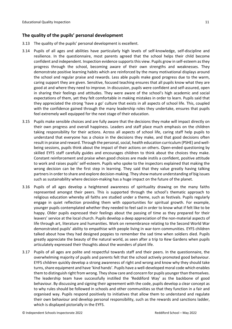### **The quality of the pupils' personal development**

- 3.13 The quality of the pupils' personal development is excellent.
- 3.14 Pupils of all ages and abilities have particularly high levels of self-knowledge, self-discipline and resilience. In the questionnaire, most parents agreed that the school helps their child become confident and independent. Inspection evidence supports this view. Pupils grow in self-esteem as they progress through the school, becoming aware of their own strengths and weaknesses. They demonstrate positive learning habits which are reinforced by the many motivational displays around the school and regular praise and rewards. Less able pupils make good progress due to the warm, caring support they are given. Sensitive, focused teaching ensures that all pupils know what they are good at and where they need to improve. In discussion, pupils were confident and self-assured, open in sharing their feelings and attitudes. They were aware of the school's high academic and social expectations of them, yet they felt comfortable in making mistakes in order to learn. Pupils said that they appreciated the strong 'have a go' culture that exists in all aspects of school life. This, coupled with the confidence gained through the many leadership roles they undertake, ensures that pupils feel extremely well equipped for the next stage of their education.
- 3.15 Pupils make sensible choices and are fully aware that the decisions they make will impact directly on their own progress and overall happiness. Leaders and staff place much emphasis on the children taking responsibility for their actions. Across all aspects of school life, caring staff help pupils to understand that everyone has a choice in the decisions they make, and that good decisions often result in praise and reward. Through the personal, social, health education curriculum (PSHE) and wellbeing sessions, pupils think about the impact of their actions on others. Open-ended questioning by skilled EYFS staff carefully guides and encourages children to think about the choices they make. Constant reinforcement and praise when good choices are made instils a confident, positive attitude to work and raises pupils' self-esteem. Pupils who spoke to the inspectors explained that making the wrong decision can be the first step in learning. They said that they value greatly having talking partnersin order to share and explore decision-making. They show mature understanding of big issues such as sustainability where decision-making has a huge impact on the future of the planet.
- 3.16 Pupils of all ages develop a heightened awareness of spirituality drawing on the many faiths represented amongst their peers. This is supported through the school's thematic approach to religious education whereby all faiths are studied under a theme, such as festivals. Pupils regularly engage in quiet reflection providing them with opportunities for spiritual growth. For example, younger pupils contemplated whether they needed to feel sad in order to know what if felt like to be happy. Older pupils expressed their feelings about the passing of time as they prepared for their leavers' service at the local church. Pupils develop a deep appreciation of the non-material aspects of life through art, literature and humanities. Work on remembrance relating to the Second World War demonstrated pupils' ability to empathise with people living in war-torn communities. EYFS children talked about how they had designed poppies to remember the sad time when soldiers died. Pupils greatly appreciate the beauty of the natural world, as seen after a trip to Kew Gardens when pupils articulately expressed their thoughts about the wonders of plant life.
- 3.17 Pupils of all ages are polite and respectful towards staff and their peers. In the questionnaire, the overwhelming majority of pupils and parents felt that the school actively promoted good behaviour. EYFS children quickly develop a strong awareness of right and wrong and know why they should take turns, share equipment and have 'kind hands'. Pupils have a well-developed moral code which enables them to distinguish right from wrong. They show care and concern for pupils youngerthan themselves. The leadership team have successfully instilled the 'Reddiford Way' as the backbone of good behaviour. By discussing and signing their agreement with the code, pupils develop a clear concept as to why rules should be followed in schools and other communities so that they function in a fair and organised way. Pupils respond positively to initiatives that allow them to understand and regulate their own behaviour and develop personal responsibility, such as the rewards and sanctions ladder, which is displayed pictorially in the EYFS.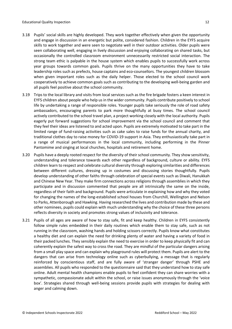- 3.18 Pupils' social skills are highly developed. They work together effectively when given the opportunity and engage in discussion in an energetic but polite, considered fashion. Children in the EYFS acquire skills to work together and were seen to negotiate well in their outdoor activities. Older pupils were seen collaborating well, engaging in lively discussion and enjoying collaborating on shared tasks, but occasionally the controlled classroom environment unnecessarily restricted social interaction. The strong team ethic is palpable in the house system which enables pupils to successfully work across year groups towards common goals. Pupils thrive on the many opportunities they have to take leadership roles such as prefects, house captains and eco-counsellors. The youngest children blossom when given important roles such as the daily helper. Those elected to the school council work cooperatively to achieve common goals such as contributing to the developing well-being garden and all pupils feel positive about the school community.
- 3.19 Trips to the local library and visits from local services such as the fire brigade fosters a keen interest in EYFS children about people who help us in the wider community. Pupils contribute positively to school life by undertaking a range of responsible roles. Younger pupils take seriously the role of road safety ambassadors, encouraging parents to park more thoughtfully at busy times. The school council actively contributed to the school travel plan, a project working closely with the local authority. Pupils eagerly put forward suggestions for school improvement via the school council and comment that they feel their ideas are listened to and acted upon. Pupils are extremely motivated to take part in the limited range of fund-raising activities such as cake sales to raise funds for the annual charity, and traditional clothes day to raise money for COVID-19 support in Asia. They enthusiastically take part in a range of musical performances in the local community, including performing in the Pinner Pantomime and singing at local churches, hospitals and retirement home.
- 3.20 Pupils have a deeply rooted respect for the diversity of their school community. They show sensitivity, understanding and tolerance towards each other regardless of background, culture or ability. EYFS children learn to respect and celebrate cultural diversity through exploring similarities and differences between different cultures, dressing up in costumes and discussing stories thoughtfully. Pupils develop understanding of other faiths through celebration of special events such as Diwali, Hanukkah and Chinese New Year. They make firm connections across religions through assemblies in which they participate and in discussion commented that people are all intrinsically the same on the inside, regardless of their faith and background. Pupils were articulate in explaining how and why they voted for changing the names of the long-established school houses from Churchill, Wellington and Nelson to Parks, Attenborough and Hawking. Having researched the lives and contribution made by these and other nominees, pupils could explain with much understanding why the choice of these three persons reflects diversity in society and promotes strong values of inclusivity and tolerance.
- 3.21 Pupils of all ages are aware of how to stay safe, fit and keep healthy. Children in EYFS consistently follow simple rules embedded in their daily routines which enable them to stay safe, such as not running in the classroom, washing hands and holding scissors correctly. Pupils know what constitutes a healthy diet and can explain the need for drinking plenty of water and having a variety of food in their packed lunches. They sensibly explain the need to exercise in order to keep physically fit and can coherently explain the safest way to cross the road. They are mindful of the particular dangers arising from a small play space and can explain why playground rules will protect them. Pupils are alert to the dangers that can arise from technology online such as cyberbullying, a message that is regularly reinforced by conscientious staff, and are fully aware of 'stranger danger' through PSHE and assemblies. All pupils who responded to the questionnaire said that they understand how to stay safe online. Adult mental health champions enable pupils to feel confident they can share worries with a sympathetic, compassionate adult within the school, or raise issues anonymously through the 'voice box'. Strategies shared through well-being sessions provide pupils with strategies for dealing with anger and calming down.